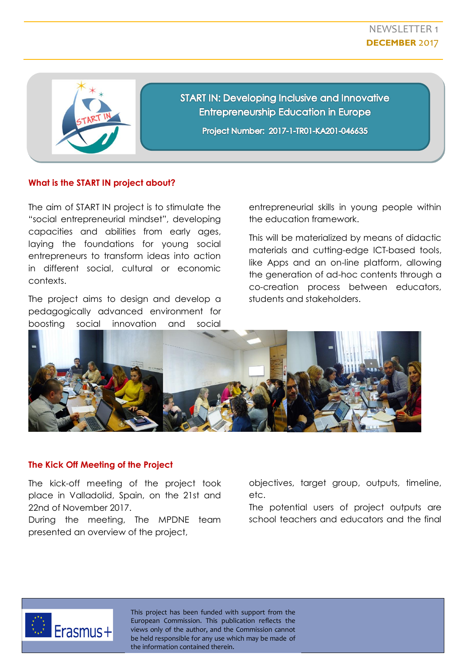

**START IN: Developing Inclusive and Innovative Entrepreneurship Education in Europe** Project Number: 2017-1-TR01-KA201-046635

## **What is the START IN project about?**

The aim of START IN project is to stimulate the "social entrepreneurial mindset", developing capacities and abilities from early ages, laying the foundations for young social entrepreneurs to transform ideas into action in different social, cultural or economic contexts.

The project aims to design and develop a pedagogically advanced environment for boosting social innovation and social

entrepreneurial skills in young people within the education framework.

This will be materialized by means of didactic materials and cutting-edge ICT-based tools, like Apps and an on-line platform, allowing the generation of ad-hoc contents through a co-creation process between educators, students and stakeholders.



## **The Kick Off Meeting of the Project**

The kick-off meeting of the project took place in Valladolid, Spain, on the 21st and 22nd of November 2017.

During the meeting, The MPDNE team presented an overview of the project,

objectives, target group, outputs, timeline, etc.

The potential users of project outputs are school teachers and educators and the final



This project has been funded with support from the European Commission. This publication reflects the views only of the author, and the Commission cannot be held responsible for any use which may be made of the information contained therein.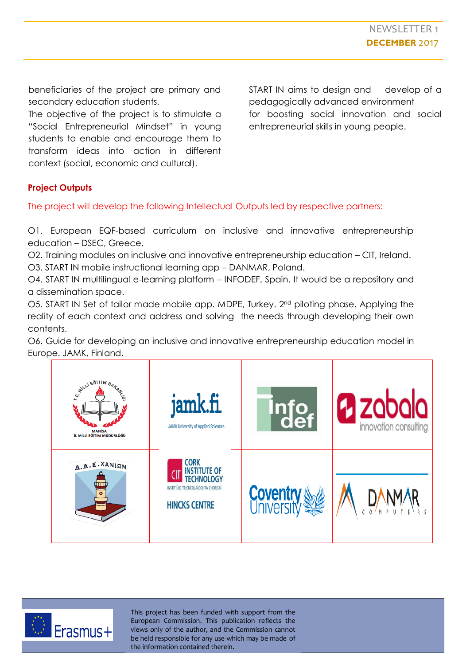beneficiaries of the project are primary and secondary education students.

The objective of the project is to stimulate a "Social Entrepreneurial Mindset" in young students to enable and encourage them to transform ideas into action in different context (social, economic and cultural).

START IN aims to design and develop of a pedagogically advanced environment for boosting social innovation and social entrepreneurial skills in young people.

## **Project Outputs**

The project will develop the following Intellectual Outputs led by respective partners:

O1. European EQF-based curriculum on inclusive and innovative entrepreneurship education – DSEC, Greece.

O2. Training modules on inclusive and innovative entrepreneurship education – CIT, Ireland.

O3. START IN mobile instructional learning app – DANMAR, Poland.

O4. START IN multilingual e-learning platform – INFODEF, Spain. It would be a repository and a dissemination space.

O5. START IN Set of tailor made mobile app. MDPE, Turkey. 2<sup>nd</sup> piloting phase. Applying the reality of each context and address and solving the needs through developing their own contents.

O6. Guide for developing an inclusive and innovative entrepreneurship education model in Europe. JAMK, Finland.





This project has been funded with support from the European Commission. This publication reflects the views only of the author, and the Commission cannot be held responsible for any use which may be made of the information contained therein.